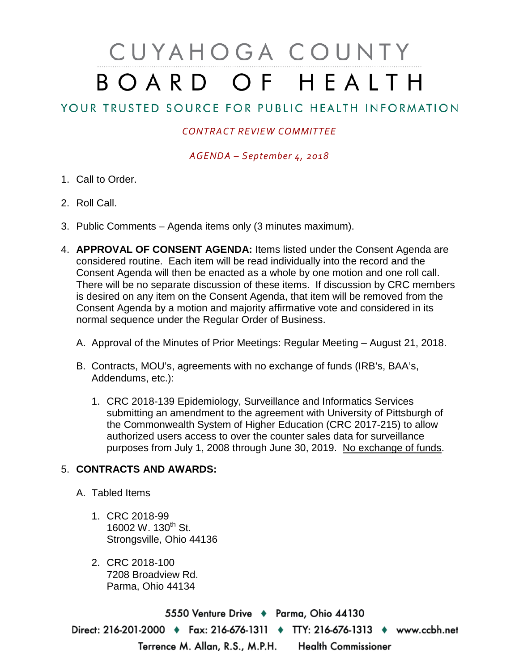## CUYAHOGA COUNTY BOARD OF HEALTH

## YOUR TRUSTED SOURCE FOR PUBLIC HEALTH INFORMATION

## *CONTRACT REVIEW COMMITTEE*

*AGENDA – September 4, 2018*

- 1. Call to Order.
- 2. Roll Call.
- 3. Public Comments Agenda items only (3 minutes maximum).
- 4. **APPROVAL OF CONSENT AGENDA:** Items listed under the Consent Agenda are considered routine. Each item will be read individually into the record and the Consent Agenda will then be enacted as a whole by one motion and one roll call. There will be no separate discussion of these items. If discussion by CRC members is desired on any item on the Consent Agenda, that item will be removed from the Consent Agenda by a motion and majority affirmative vote and considered in its normal sequence under the Regular Order of Business.
	- A. Approval of the Minutes of Prior Meetings: Regular Meeting August 21, 2018.
	- B. Contracts, MOU's, agreements with no exchange of funds (IRB's, BAA's, Addendums, etc.):
		- 1. CRC 2018-139 Epidemiology, Surveillance and Informatics Services submitting an amendment to the agreement with University of Pittsburgh of the Commonwealth System of Higher Education (CRC 2017-215) to allow authorized users access to over the counter sales data for surveillance purposes from July 1, 2008 through June 30, 2019. No exchange of funds.

## 5. **CONTRACTS AND AWARDS:**

- A. Tabled Items
	- 1. CRC 2018-99 16002 W. 130<sup>th</sup> St. Strongsville, Ohio 44136
	- 2. CRC 2018-100 7208 Broadview Rd. Parma, Ohio 44134

5550 Venture Drive + Parma, Ohio 44130 Direct: 216-201-2000 • Fax: 216-676-1311 • TTY: 216-676-1313 • www.ccbh.net Terrence M. Allan, R.S., M.P.H. Health Commissioner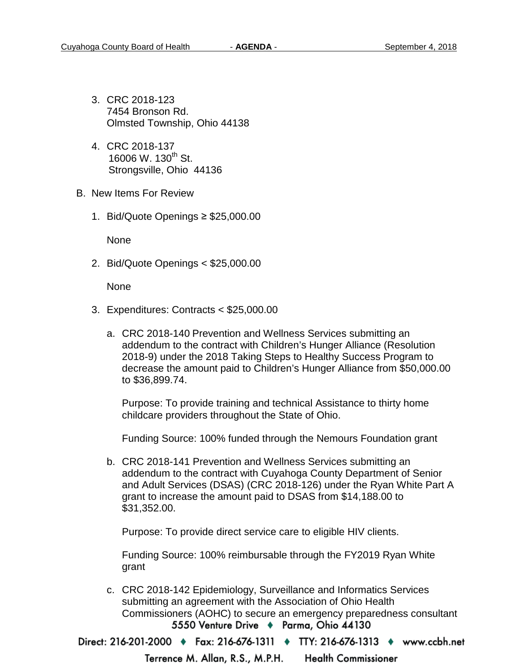- 3. CRC 2018-123 7454 Bronson Rd. Olmsted Township, Ohio 44138
- 4. CRC 2018-137 16006 W. 130<sup>th</sup> St. Strongsville, Ohio 44136
- B. New Items For Review
	- 1. Bid/Quote Openings ≥ \$25,000.00

None

2. Bid/Quote Openings < \$25,000.00

None

- 3. Expenditures: Contracts < \$25,000.00
	- a. CRC 2018-140 Prevention and Wellness Services submitting an addendum to the contract with Children's Hunger Alliance (Resolution 2018-9) under the 2018 Taking Steps to Healthy Success Program to decrease the amount paid to Children's Hunger Alliance from \$50,000.00 to \$36,899.74.

Purpose: To provide training and technical Assistance to thirty home childcare providers throughout the State of Ohio.

Funding Source: 100% funded through the Nemours Foundation grant

b. CRC 2018-141 Prevention and Wellness Services submitting an addendum to the contract with Cuyahoga County Department of Senior and Adult Services (DSAS) (CRC 2018-126) under the Ryan White Part A grant to increase the amount paid to DSAS from \$14,188.00 to \$31,352.00.

Purpose: To provide direct service care to eligible HIV clients.

Funding Source: 100% reimbursable through the FY2019 Ryan White grant

c. CRC 2018-142 Epidemiology, Surveillance and Informatics Services submitting an agreement with the Association of Ohio Health Commissioners (AOHC) to secure an emergency preparedness consultant 5550 Venture Drive + Parma, Ohio 44130

Direct: 216-201-2000 ♦ Fax: 216-676-1311 ♦ TTY: 216-676-1313 ♦ www.ccbh.net

Terrence M. Allan, R.S., M.P.H. **Health Commissioner**